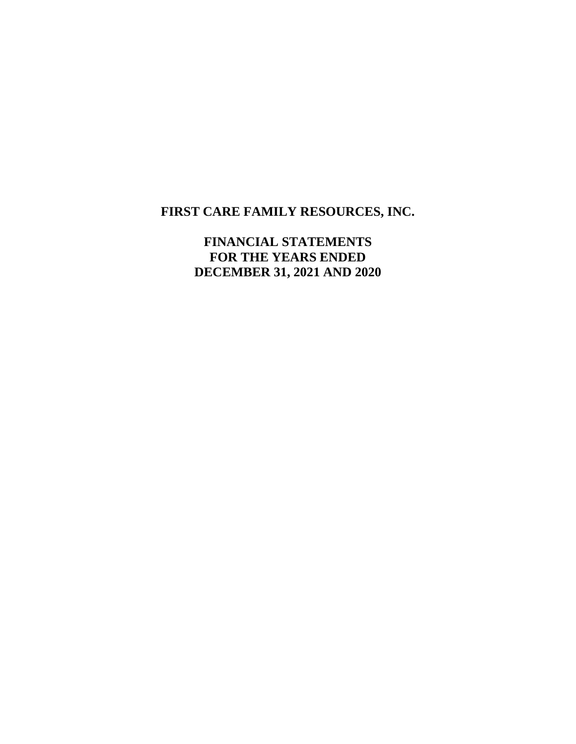# **FIRST CARE FAMILY RESOURCES, INC.**

**FINANCIAL STATEMENTS FOR THE YEARS ENDED DECEMBER 31, 2021 AND 2020**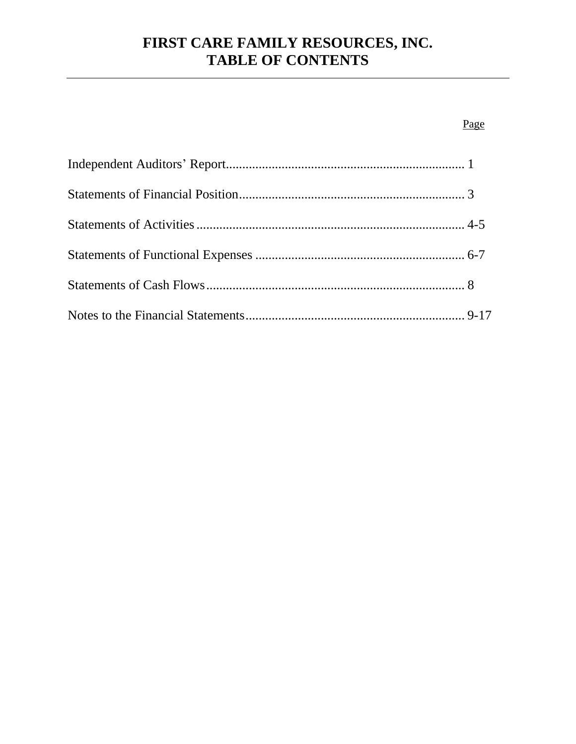# **FIRST CARE FAMILY RESOURCES, INC. TABLE OF CONTENTS**

#### Page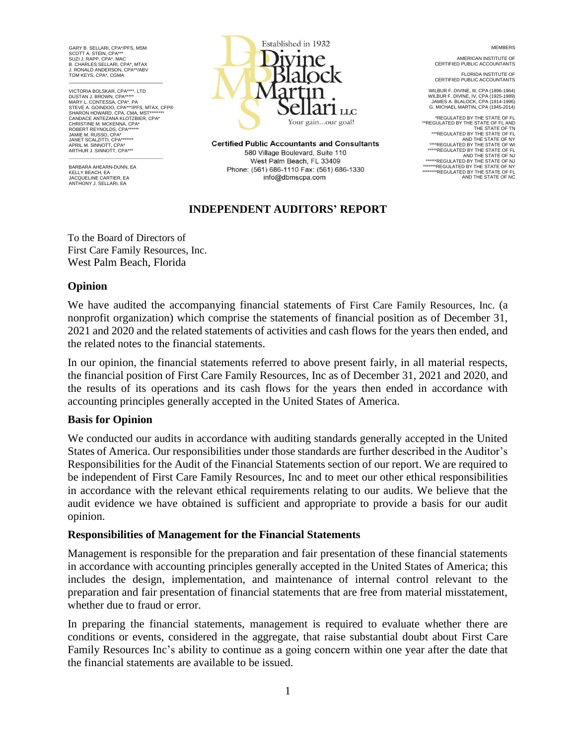GARY B. SELLARI, CPA\*/PFS, MSM SCOTT A. STEIN, CPA\*\*\* SUZI J. RAPP, CPA\*, MAC B. CHARLES SELLARI, CPA\*, MTAX J. RONALD ANDERSON, CPA\*\*/ABV TOM KEYS, CPA\*, CGMA

VICTORIA BOLSKAR, CPA\*\*\*\*, LTD DUSTAN J. BROWN, CPA\*\*\*\*\* MARY L. CONTESSA, CPA\*, PA STEVE A. GOINDOO, CPA\*\*\*/PFS, MTAX, CFP® SHARON HOWARD, CPA, CMA, MST\*\*\*\*\*\*\*\*<br>CANDACE ANTEZANA KLOTZBIER, CPA\*<br>CHRISTINE M. MCKENNA, CPA\*\*\*\*\*<br>ROBERT REYNOLDS, CPA\*\*\*\*\*\* JAMIE M. RUSSO, CPA\* JANET SCALZITTI, CPA\*\*\*\*\*\*\* APRIL M. SINNOTT, CPA\* ARTHUR J. SINNOTT, CPA\*\*\*

BARBARA AHEARN-DUNN, EA KELLY BEACH, EA JACQUELINE CARTIER, EA ANTHONY J. SELLARI, EA



**Certified Public Accountants and Consultants** 580 Village Boulevard, Suite 110 West Palm Beach, FL 33409 Phone: (561) 686-1110 Fax: (561) 686-1330 info@dbmscpa.com

#### **INDEPENDENT AUDITORS' REPORT**

MEMBERS

AMERICAN INSTITUTE OF CERTIFIED PUBLIC ACCOUNTANTS

FLORIDA INSTITUTE OF CERTIFIED PUBLIC ACCOUNTANTS

WILBUR F. DIVINE, III, CPA (1896-1964) WILBUR F. DIVINE, IV, CPA (1925-1989) JAMES A. BLALOCK, CPA (1914-1996) G. MICHAEL MARTIN, CPA (1945-2014)

\*REGULATED BY THE STATE OF FL \*\*REGULATED BY THE STATE OF FL AND THE STATE OF TN<br>REGULATED BY THE STATE OF FL\*<br>AND THE STATE OF NY<br>REGULATED BY THE STATE OF WI\*\*\*\* \*\*\*\*\*REGULATED BY THE STATE OF FL AND THE STATE OF NJ \*\*\*\*\*\*REGULATED BY THE STATE OF NJ \*\*\*\*\*\*\*REGULATED BY THE STATE OF NY \*\*\*\*\*\*\*\*REGULATED BY THE STATE OF FL AND THE STATE OF NC

To the Board of Directors of First Care Family Resources, Inc. West Palm Beach, Florida

#### **Opinion**

We have audited the accompanying financial statements of First Care Family Resources, Inc. (a nonprofit organization) which comprise the statements of financial position as of December 31, 2021 and 2020 and the related statements of activities and cash flows for the years then ended, and the related notes to the financial statements.

In our opinion, the financial statements referred to above present fairly, in all material respects, the financial position of First Care Family Resources, Inc as of December 31, 2021 and 2020, and the results of its operations and its cash flows for the years then ended in accordance with accounting principles generally accepted in the United States of America.

#### **Basis for Opinion**

We conducted our audits in accordance with auditing standards generally accepted in the United States of America. Our responsibilities under those standards are further described in the Auditor's Responsibilities for the Audit of the Financial Statements section of our report. We are required to be independent of First Care Family Resources, Inc and to meet our other ethical responsibilities in accordance with the relevant ethical requirements relating to our audits. We believe that the audit evidence we have obtained is sufficient and appropriate to provide a basis for our audit opinion.

#### **Responsibilities of Management for the Financial Statements**

Management is responsible for the preparation and fair presentation of these financial statements in accordance with accounting principles generally accepted in the United States of America; this includes the design, implementation, and maintenance of internal control relevant to the preparation and fair presentation of financial statements that are free from material misstatement, whether due to fraud or error.

In preparing the financial statements, management is required to evaluate whether there are conditions or events, considered in the aggregate, that raise substantial doubt about First Care Family Resources Inc's ability to continue as a going concern within one year after the date that the financial statements are available to be issued.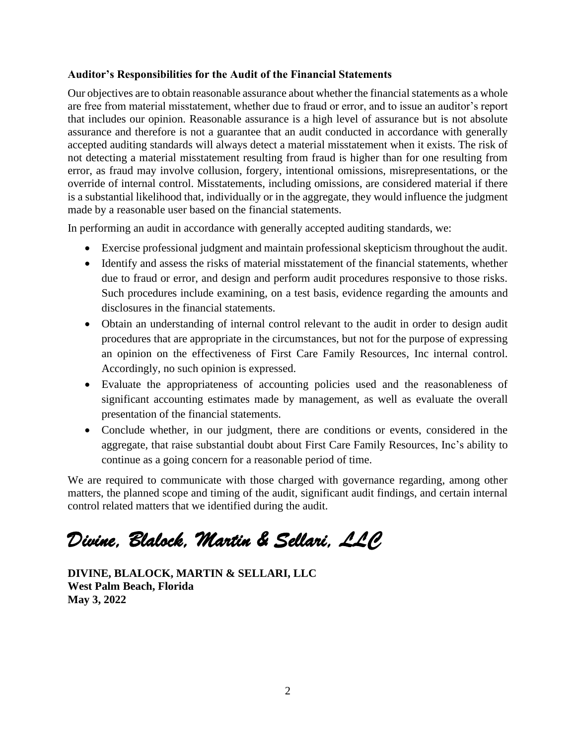#### **Auditor's Responsibilities for the Audit of the Financial Statements**

Our objectives are to obtain reasonable assurance about whether the financial statements as a whole are free from material misstatement, whether due to fraud or error, and to issue an auditor's report that includes our opinion. Reasonable assurance is a high level of assurance but is not absolute assurance and therefore is not a guarantee that an audit conducted in accordance with generally accepted auditing standards will always detect a material misstatement when it exists. The risk of not detecting a material misstatement resulting from fraud is higher than for one resulting from error, as fraud may involve collusion, forgery, intentional omissions, misrepresentations, or the override of internal control. Misstatements, including omissions, are considered material if there is a substantial likelihood that, individually or in the aggregate, they would influence the judgment made by a reasonable user based on the financial statements.

In performing an audit in accordance with generally accepted auditing standards, we:

- Exercise professional judgment and maintain professional skepticism throughout the audit.
- Identify and assess the risks of material misstatement of the financial statements, whether due to fraud or error, and design and perform audit procedures responsive to those risks. Such procedures include examining, on a test basis, evidence regarding the amounts and disclosures in the financial statements.
- Obtain an understanding of internal control relevant to the audit in order to design audit procedures that are appropriate in the circumstances, but not for the purpose of expressing an opinion on the effectiveness of First Care Family Resources, Inc internal control. Accordingly, no such opinion is expressed.
- Evaluate the appropriateness of accounting policies used and the reasonableness of significant accounting estimates made by management, as well as evaluate the overall presentation of the financial statements.
- Conclude whether, in our judgment, there are conditions or events, considered in the aggregate, that raise substantial doubt about First Care Family Resources, Inc's ability to continue as a going concern for a reasonable period of time.

We are required to communicate with those charged with governance regarding, among other matters, the planned scope and timing of the audit, significant audit findings, and certain internal control related matters that we identified during the audit.

# *Divine, Blalock, Martin & Sellari, LLC*

**DIVINE, BLALOCK, MARTIN & SELLARI, LLC West Palm Beach, Florida May 3, 2022**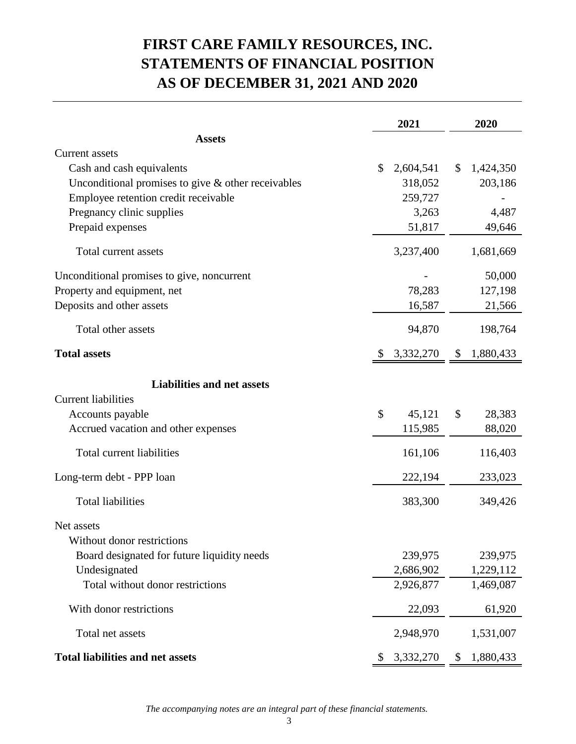# **FIRST CARE FAMILY RESOURCES, INC. STATEMENTS OF FINANCIAL POSITION AS OF DECEMBER 31, 2021 AND 2020**

|                                                       | 2021            |               | 2020      |
|-------------------------------------------------------|-----------------|---------------|-----------|
| <b>Assets</b>                                         |                 |               |           |
| <b>Current</b> assets                                 |                 |               |           |
| Cash and cash equivalents                             | \$<br>2,604,541 | $\mathbb{S}$  | 1,424,350 |
| Unconditional promises to give $\&$ other receivables | 318,052         |               | 203,186   |
| Employee retention credit receivable                  | 259,727         |               |           |
| Pregnancy clinic supplies                             | 3,263           |               | 4,487     |
| Prepaid expenses                                      | 51,817          |               | 49,646    |
| Total current assets                                  | 3,237,400       |               | 1,681,669 |
| Unconditional promises to give, noncurrent            |                 |               | 50,000    |
| Property and equipment, net                           | 78,283          |               | 127,198   |
| Deposits and other assets                             | 16,587          |               | 21,566    |
| Total other assets                                    | 94,870          |               | 198,764   |
| <b>Total assets</b>                                   | 3,332,270       | $\mathcal{S}$ | 1,880,433 |
| <b>Liabilities and net assets</b>                     |                 |               |           |
| <b>Current liabilities</b>                            |                 |               |           |
| Accounts payable                                      | \$<br>45,121    | $\mathcal{S}$ | 28,383    |
| Accrued vacation and other expenses                   | 115,985         |               | 88,020    |
| Total current liabilities                             | 161,106         |               | 116,403   |
| Long-term debt - PPP loan                             | 222,194         |               | 233,023   |
| <b>Total liabilities</b>                              | 383,300         |               | 349,426   |
| Net assets                                            |                 |               |           |
| Without donor restrictions                            |                 |               |           |
| Board designated for future liquidity needs           | 239,975         |               | 239,975   |
| Undesignated                                          | 2,686,902       |               | 1,229,112 |
| Total without donor restrictions                      | 2,926,877       |               | 1,469,087 |
| With donor restrictions                               | 22,093          |               | 61,920    |
| Total net assets                                      | 2,948,970       |               | 1,531,007 |
| <b>Total liabilities and net assets</b>               | \$<br>3,332,270 | \$            | 1,880,433 |

*The accompanying notes are an integral part of these financial statements.*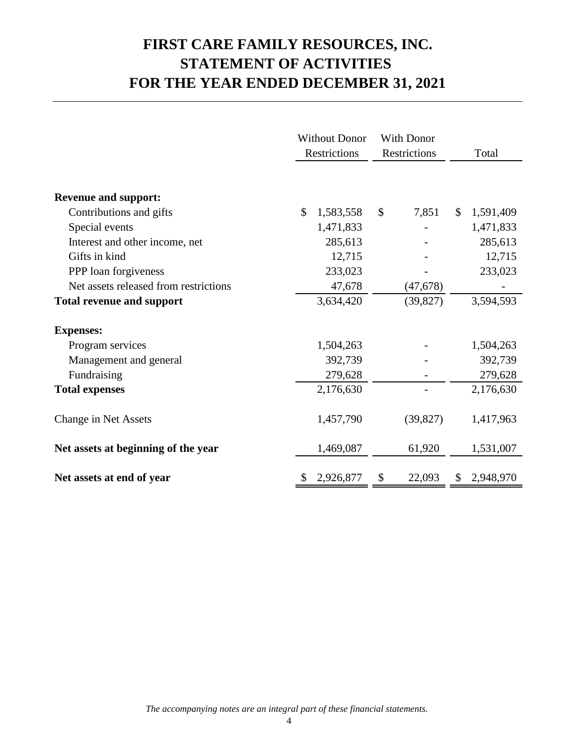# **FIRST CARE FAMILY RESOURCES, INC. STATEMENT OF ACTIVITIES FOR THE YEAR ENDED DECEMBER 31, 2021**

|                                       | <b>Without Donor</b><br>Restrictions |           | <b>With Donor</b><br>Restrictions |           |              | Total     |
|---------------------------------------|--------------------------------------|-----------|-----------------------------------|-----------|--------------|-----------|
|                                       |                                      |           |                                   |           |              |           |
| <b>Revenue and support:</b>           |                                      |           |                                   |           |              |           |
| Contributions and gifts               | \$                                   | 1,583,558 | \$                                | 7,851     | $\mathbb{S}$ | 1,591,409 |
| Special events                        |                                      | 1,471,833 |                                   |           |              | 1,471,833 |
| Interest and other income, net        |                                      | 285,613   |                                   |           |              | 285,613   |
| Gifts in kind                         |                                      | 12,715    |                                   |           |              | 12,715    |
| PPP loan forgiveness                  |                                      | 233,023   |                                   |           |              | 233,023   |
| Net assets released from restrictions |                                      | 47,678    |                                   | (47, 678) |              |           |
| <b>Total revenue and support</b>      |                                      | 3,634,420 |                                   | (39, 827) |              | 3,594,593 |
| <b>Expenses:</b>                      |                                      |           |                                   |           |              |           |
| Program services                      |                                      | 1,504,263 |                                   |           |              | 1,504,263 |
| Management and general                |                                      | 392,739   |                                   |           |              | 392,739   |
| Fundraising                           |                                      | 279,628   |                                   |           |              | 279,628   |
| <b>Total expenses</b>                 |                                      | 2,176,630 |                                   |           |              | 2,176,630 |
| Change in Net Assets                  |                                      | 1,457,790 |                                   | (39, 827) |              | 1,417,963 |
| Net assets at beginning of the year   |                                      | 1,469,087 |                                   | 61,920    |              | 1,531,007 |
| Net assets at end of year             |                                      | 2,926,877 | \$                                | 22,093    | S            | 2,948,970 |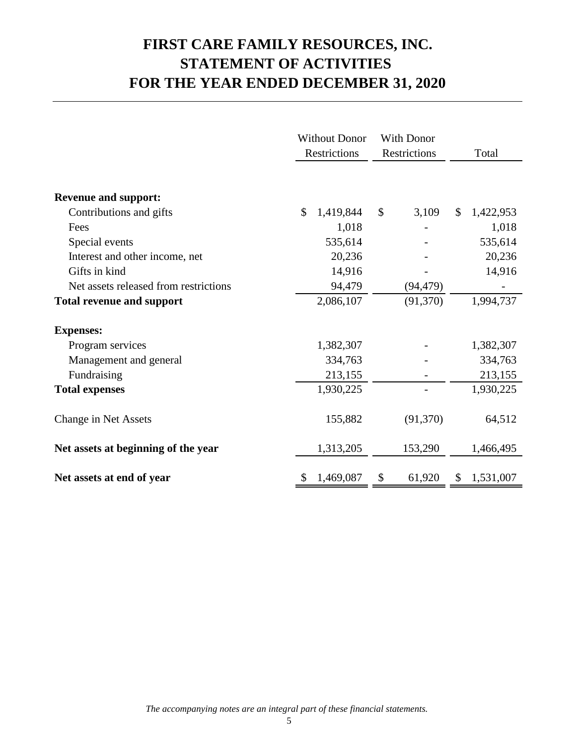# **FIRST CARE FAMILY RESOURCES, INC. STATEMENT OF ACTIVITIES FOR THE YEAR ENDED DECEMBER 31, 2020**

|                                       | <b>Without Donor</b><br>Restrictions |           | <b>With Donor</b><br>Restrictions |           |              | Total     |
|---------------------------------------|--------------------------------------|-----------|-----------------------------------|-----------|--------------|-----------|
|                                       |                                      |           |                                   |           |              |           |
|                                       |                                      |           |                                   |           |              |           |
| <b>Revenue and support:</b>           | $\mathcal{S}$                        |           | \$                                |           | $\mathbb{S}$ |           |
| Contributions and gifts               |                                      | 1,419,844 |                                   | 3,109     |              | 1,422,953 |
| Fees                                  |                                      | 1,018     |                                   |           |              | 1,018     |
| Special events                        |                                      | 535,614   |                                   |           |              | 535,614   |
| Interest and other income, net        |                                      | 20,236    |                                   |           |              | 20,236    |
| Gifts in kind                         |                                      | 14,916    |                                   |           |              | 14,916    |
| Net assets released from restrictions |                                      | 94,479    |                                   | (94, 479) |              |           |
| <b>Total revenue and support</b>      |                                      | 2,086,107 |                                   | (91, 370) |              | 1,994,737 |
| <b>Expenses:</b>                      |                                      |           |                                   |           |              |           |
| Program services                      |                                      | 1,382,307 |                                   |           |              | 1,382,307 |
| Management and general                |                                      | 334,763   |                                   |           |              | 334,763   |
| Fundraising                           |                                      | 213,155   |                                   |           |              | 213,155   |
| <b>Total expenses</b>                 |                                      | 1,930,225 |                                   |           |              | 1,930,225 |
| Change in Net Assets                  |                                      | 155,882   |                                   | (91, 370) |              | 64,512    |
| Net assets at beginning of the year   |                                      | 1,313,205 |                                   | 153,290   |              | 1,466,495 |
| Net assets at end of year             |                                      | 1,469,087 | \$                                | 61,920    | S            | 1,531,007 |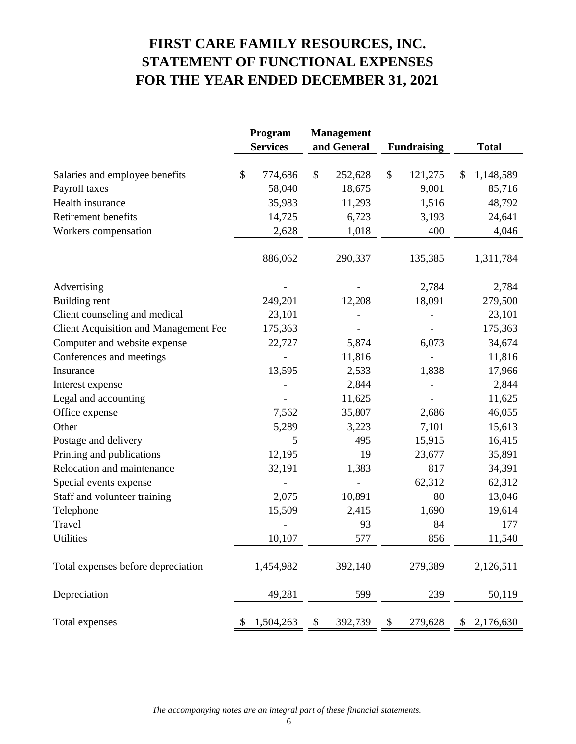# **FIRST CARE FAMILY RESOURCES, INC. STATEMENT OF FUNCTIONAL EXPENSES FOR THE YEAR ENDED DECEMBER 31, 2021**

|                                              |    | Program<br><b>Services</b> | <b>Management</b><br>and General | <b>Fundraising</b> |               | <b>Total</b> |
|----------------------------------------------|----|----------------------------|----------------------------------|--------------------|---------------|--------------|
| Salaries and employee benefits               | \$ | 774,686                    | \$<br>252,628                    | \$<br>121,275      | $\mathcal{S}$ | 1,148,589    |
| Payroll taxes                                |    | 58,040                     | 18,675                           | 9,001              |               | 85,716       |
| Health insurance                             |    | 35,983                     | 11,293                           | 1,516              |               | 48,792       |
| Retirement benefits                          |    | 14,725                     | 6,723                            | 3,193              |               | 24,641       |
| Workers compensation                         |    | 2,628                      | 1,018                            | 400                |               | 4,046        |
|                                              |    |                            |                                  |                    |               |              |
|                                              |    | 886,062                    | 290,337                          | 135,385            |               | 1,311,784    |
| Advertising                                  |    |                            |                                  | 2,784              |               | 2,784        |
| Building rent                                |    | 249,201                    | 12,208                           | 18,091             |               | 279,500      |
| Client counseling and medical                |    | 23,101                     |                                  |                    |               | 23,101       |
| <b>Client Acquisition and Management Fee</b> |    | 175,363                    |                                  |                    |               | 175,363      |
| Computer and website expense                 |    | 22,727                     | 5,874                            | 6,073              |               | 34,674       |
| Conferences and meetings                     |    |                            | 11,816                           |                    |               | 11,816       |
| Insurance                                    |    | 13,595                     | 2,533                            | 1,838              |               | 17,966       |
| Interest expense                             |    |                            | 2,844                            |                    |               | 2,844        |
| Legal and accounting                         |    |                            | 11,625                           |                    |               | 11,625       |
| Office expense                               |    | 7,562                      | 35,807                           | 2,686              |               | 46,055       |
| Other                                        |    | 5,289                      | 3,223                            | 7,101              |               | 15,613       |
| Postage and delivery                         |    | 5                          | 495                              | 15,915             |               | 16,415       |
| Printing and publications                    |    | 12,195                     | 19                               | 23,677             |               | 35,891       |
| Relocation and maintenance                   |    | 32,191                     | 1,383                            | 817                |               | 34,391       |
| Special events expense                       |    |                            | $\overline{\phantom{a}}$         | 62,312             |               | 62,312       |
| Staff and volunteer training                 |    | 2,075                      | 10,891                           | 80                 |               | 13,046       |
| Telephone                                    |    | 15,509                     | 2,415                            | 1,690              |               | 19,614       |
| Travel                                       |    |                            | 93                               | 84                 |               | 177          |
| Utilities                                    |    | 10,107                     | 577                              | 856                |               | 11,540       |
| Total expenses before depreciation           |    | 1,454,982                  | 392,140                          | 279,389            |               | 2,126,511    |
| Depreciation                                 |    | 49,281                     | 599                              | 239                |               | 50,119       |
| Total expenses                               | P. | 1,504,263                  | \$<br>392,739                    | \$<br>279,628      | \$            | 2,176,630    |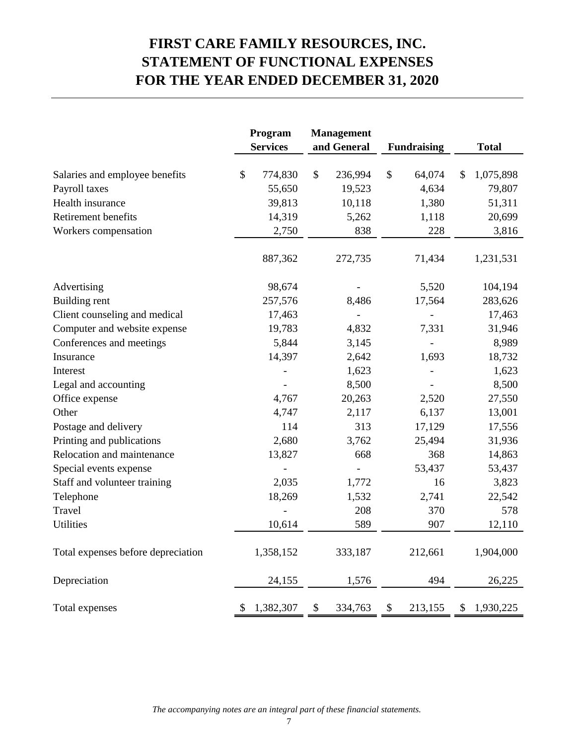# **FIRST CARE FAMILY RESOURCES, INC. STATEMENT OF FUNCTIONAL EXPENSES FOR THE YEAR ENDED DECEMBER 31, 2020**

|                                    | Program<br><b>Services</b> | <b>Management</b><br>and General | <b>Fundraising</b> | <b>Total</b>    |
|------------------------------------|----------------------------|----------------------------------|--------------------|-----------------|
| Salaries and employee benefits     | \$<br>774,830              | \$<br>236,994                    | \$<br>64,074       | 1,075,898<br>\$ |
| Payroll taxes                      | 55,650                     | 19,523                           | 4,634              | 79,807          |
| Health insurance                   | 39,813                     | 10,118                           | 1,380              | 51,311          |
| Retirement benefits                | 14,319                     | 5,262                            | 1,118              | 20,699          |
| Workers compensation               | 2,750                      | 838                              | 228                | 3,816           |
|                                    | 887,362                    | 272,735                          | 71,434             | 1,231,531       |
| Advertising                        | 98,674                     |                                  | 5,520              | 104,194         |
| <b>Building rent</b>               | 257,576                    | 8,486                            | 17,564             | 283,626         |
| Client counseling and medical      | 17,463                     |                                  |                    | 17,463          |
| Computer and website expense       | 19,783                     | 4,832                            | 7,331              | 31,946          |
| Conferences and meetings           | 5,844                      | 3,145                            |                    | 8,989           |
| Insurance                          | 14,397                     | 2,642                            | 1,693              | 18,732          |
| Interest                           |                            | 1,623                            |                    | 1,623           |
| Legal and accounting               |                            | 8,500                            |                    | 8,500           |
| Office expense                     | 4,767                      | 20,263                           | 2,520              | 27,550          |
| Other                              | 4,747                      | 2,117                            | 6,137              | 13,001          |
| Postage and delivery               | 114                        | 313                              | 17,129             | 17,556          |
| Printing and publications          | 2,680                      | 3,762                            | 25,494             | 31,936          |
| Relocation and maintenance         | 13,827                     | 668                              | 368                | 14,863          |
| Special events expense             |                            |                                  | 53,437             | 53,437          |
| Staff and volunteer training       | 2,035                      | 1,772                            | 16                 | 3,823           |
| Telephone                          | 18,269                     | 1,532                            | 2,741              | 22,542          |
| Travel                             |                            | 208                              | 370                | 578             |
| <b>Utilities</b>                   | 10,614                     | 589                              | 907                | 12,110          |
| Total expenses before depreciation | 1,358,152                  | 333,187                          | 212,661            | 1,904,000       |
| Depreciation                       | 24,155                     | 1,576                            | 494                | 26,225          |
| Total expenses                     | 1,382,307                  | \$<br>334,763                    | \$<br>213,155      | 1,930,225<br>\$ |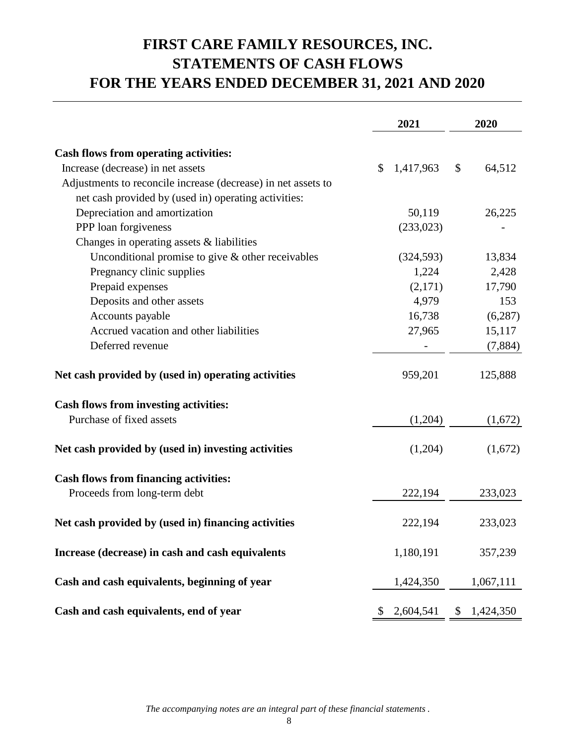# **FIRST CARE FAMILY RESOURCES, INC. STATEMENTS OF CASH FLOWS FOR THE YEARS ENDED DECEMBER 31, 2021 AND 2020**

|                                                               | 2021            |               | 2020      |
|---------------------------------------------------------------|-----------------|---------------|-----------|
| <b>Cash flows from operating activities:</b>                  |                 |               |           |
| Increase (decrease) in net assets                             | \$<br>1,417,963 | $\mathcal{S}$ | 64,512    |
| Adjustments to reconcile increase (decrease) in net assets to |                 |               |           |
| net cash provided by (used in) operating activities:          |                 |               |           |
| Depreciation and amortization                                 | 50,119          |               | 26,225    |
| PPP loan forgiveness                                          | (233, 023)      |               |           |
| Changes in operating assets $&$ liabilities                   |                 |               |           |
| Unconditional promise to give $&$ other receivables           | (324, 593)      |               | 13,834    |
| Pregnancy clinic supplies                                     | 1,224           |               | 2,428     |
| Prepaid expenses                                              | (2,171)         |               | 17,790    |
| Deposits and other assets                                     | 4,979           |               | 153       |
| Accounts payable                                              | 16,738          |               | (6,287)   |
| Accrued vacation and other liabilities                        | 27,965          |               | 15,117    |
| Deferred revenue                                              |                 |               | (7,884)   |
| Net cash provided by (used in) operating activities           | 959,201         |               | 125,888   |
| <b>Cash flows from investing activities:</b>                  |                 |               |           |
| Purchase of fixed assets                                      | (1,204)         |               | (1,672)   |
| Net cash provided by (used in) investing activities           | (1,204)         |               | (1,672)   |
| <b>Cash flows from financing activities:</b>                  |                 |               |           |
| Proceeds from long-term debt                                  | 222,194         |               | 233,023   |
| Net cash provided by (used in) financing activities           | 222,194         |               | 233,023   |
| Increase (decrease) in cash and cash equivalents              | 1,180,191       |               | 357,239   |
| Cash and cash equivalents, beginning of year                  | 1,424,350       |               | 1,067,111 |
| Cash and cash equivalents, end of year                        | \$<br>2,604,541 | \$            | 1,424,350 |

*The accompanying notes are an integral part of these financial statements* .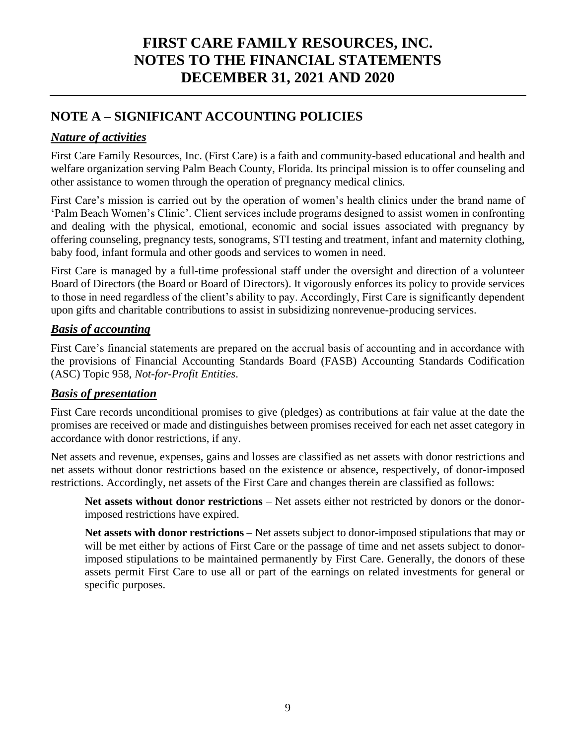## **NOTE A – SIGNIFICANT ACCOUNTING POLICIES**

#### *Nature of activities*

First Care Family Resources, Inc. (First Care) is a faith and community-based educational and health and welfare organization serving Palm Beach County, Florida. Its principal mission is to offer counseling and other assistance to women through the operation of pregnancy medical clinics.

First Care's mission is carried out by the operation of women's health clinics under the brand name of 'Palm Beach Women's Clinic'. Client services include programs designed to assist women in confronting and dealing with the physical, emotional, economic and social issues associated with pregnancy by offering counseling, pregnancy tests, sonograms, STI testing and treatment, infant and maternity clothing, baby food, infant formula and other goods and services to women in need.

First Care is managed by a full-time professional staff under the oversight and direction of a volunteer Board of Directors (the Board or Board of Directors). It vigorously enforces its policy to provide services to those in need regardless of the client's ability to pay. Accordingly, First Care is significantly dependent upon gifts and charitable contributions to assist in subsidizing nonrevenue-producing services.

#### *Basis of accounting*

First Care's financial statements are prepared on the accrual basis of accounting and in accordance with the provisions of Financial Accounting Standards Board (FASB) Accounting Standards Codification (ASC) Topic 958, *Not-for-Profit Entities*.

#### *Basis of presentation*

First Care records unconditional promises to give (pledges) as contributions at fair value at the date the promises are received or made and distinguishes between promises received for each net asset category in accordance with donor restrictions, if any.

Net assets and revenue, expenses, gains and losses are classified as net assets with donor restrictions and net assets without donor restrictions based on the existence or absence, respectively, of donor-imposed restrictions. Accordingly, net assets of the First Care and changes therein are classified as follows:

**Net assets without donor restrictions** – Net assets either not restricted by donors or the donorimposed restrictions have expired.

**Net assets with donor restrictions** – Net assets subject to donor-imposed stipulations that may or will be met either by actions of First Care or the passage of time and net assets subject to donorimposed stipulations to be maintained permanently by First Care. Generally, the donors of these assets permit First Care to use all or part of the earnings on related investments for general or specific purposes.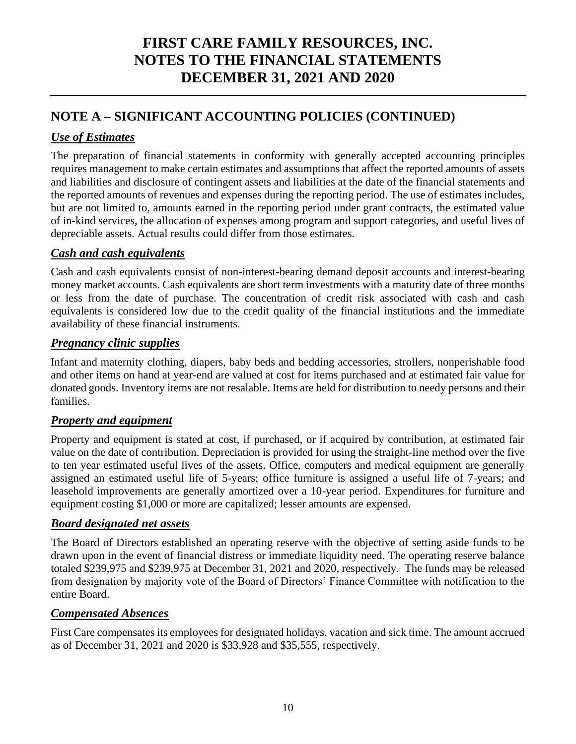# **NOTE A – SIGNIFICANT ACCOUNTING POLICIES (CONTINUED)**

### *Use of Estimates*

The preparation of financial statements in conformity with generally accepted accounting principles requires management to make certain estimates and assumptions that affect the reported amounts of assets and liabilities and disclosure of contingent assets and liabilities at the date of the financial statements and the reported amounts of revenues and expenses during the reporting period. The use of estimates includes, but are not limited to, amounts earned in the reporting period under grant contracts, the estimated value of in-kind services, the allocation of expenses among program and support categories, and useful lives of depreciable assets. Actual results could differ from those estimates.

#### *Cash and cash equivalents*

Cash and cash equivalents consist of non-interest-bearing demand deposit accounts and interest-bearing money market accounts. Cash equivalents are short term investments with a maturity date of three months or less from the date of purchase. The concentration of credit risk associated with cash and cash equivalents is considered low due to the credit quality of the financial institutions and the immediate availability of these financial instruments.

#### *Pregnancy clinic supplies*

Infant and maternity clothing, diapers, baby beds and bedding accessories, strollers, nonperishable food and other items on hand at year-end are valued at cost for items purchased and at estimated fair value for donated goods. Inventory items are not resalable. Items are held for distribution to needy persons and their families.

### *Property and equipment*

Property and equipment is stated at cost, if purchased, or if acquired by contribution, at estimated fair value on the date of contribution. Depreciation is provided for using the straight-line method over the five to ten year estimated useful lives of the assets. Office, computers and medical equipment are generally assigned an estimated useful life of 5-years; office furniture is assigned a useful life of 7-years; and leasehold improvements are generally amortized over a 10-year period. Expenditures for furniture and equipment costing \$1,000 or more are capitalized; lesser amounts are expensed.

### *Board designated net assets*

The Board of Directors established an operating reserve with the objective of setting aside funds to be drawn upon in the event of financial distress or immediate liquidity need. The operating reserve balance totaled \$239,975 and \$239,975 at December 31, 2021 and 2020, respectively. The funds may be released from designation by majority vote of the Board of Directors' Finance Committee with notification to the entire Board.

#### *Compensated Absences*

First Care compensates its employees for designated holidays, vacation and sick time. The amount accrued as of December 31, 2021 and 2020 is \$33,928 and \$35,555, respectively.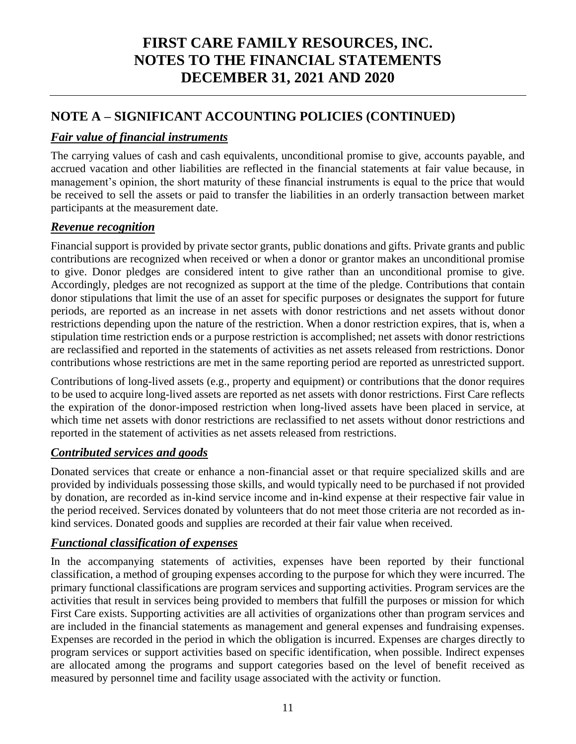### **NOTE A – SIGNIFICANT ACCOUNTING POLICIES (CONTINUED)**

#### *Fair value of financial instruments*

The carrying values of cash and cash equivalents, unconditional promise to give, accounts payable, and accrued vacation and other liabilities are reflected in the financial statements at fair value because, in management's opinion, the short maturity of these financial instruments is equal to the price that would be received to sell the assets or paid to transfer the liabilities in an orderly transaction between market participants at the measurement date.

#### *Revenue recognition*

Financial support is provided by private sector grants, public donations and gifts. Private grants and public contributions are recognized when received or when a donor or grantor makes an unconditional promise to give. Donor pledges are considered intent to give rather than an unconditional promise to give. Accordingly, pledges are not recognized as support at the time of the pledge. Contributions that contain donor stipulations that limit the use of an asset for specific purposes or designates the support for future periods, are reported as an increase in net assets with donor restrictions and net assets without donor restrictions depending upon the nature of the restriction. When a donor restriction expires, that is, when a stipulation time restriction ends or a purpose restriction is accomplished; net assets with donor restrictions are reclassified and reported in the statements of activities as net assets released from restrictions. Donor contributions whose restrictions are met in the same reporting period are reported as unrestricted support.

Contributions of long-lived assets (e.g., property and equipment) or contributions that the donor requires to be used to acquire long-lived assets are reported as net assets with donor restrictions. First Care reflects the expiration of the donor-imposed restriction when long-lived assets have been placed in service, at which time net assets with donor restrictions are reclassified to net assets without donor restrictions and reported in the statement of activities as net assets released from restrictions.

#### *Contributed services and goods*

Donated services that create or enhance a non-financial asset or that require specialized skills and are provided by individuals possessing those skills, and would typically need to be purchased if not provided by donation, are recorded as in-kind service income and in-kind expense at their respective fair value in the period received. Services donated by volunteers that do not meet those criteria are not recorded as inkind services. Donated goods and supplies are recorded at their fair value when received.

#### *Functional classification of expenses*

In the accompanying statements of activities, expenses have been reported by their functional classification, a method of grouping expenses according to the purpose for which they were incurred. The primary functional classifications are program services and supporting activities. Program services are the activities that result in services being provided to members that fulfill the purposes or mission for which First Care exists. Supporting activities are all activities of organizations other than program services and are included in the financial statements as management and general expenses and fundraising expenses. Expenses are recorded in the period in which the obligation is incurred. Expenses are charges directly to program services or support activities based on specific identification, when possible. Indirect expenses are allocated among the programs and support categories based on the level of benefit received as measured by personnel time and facility usage associated with the activity or function.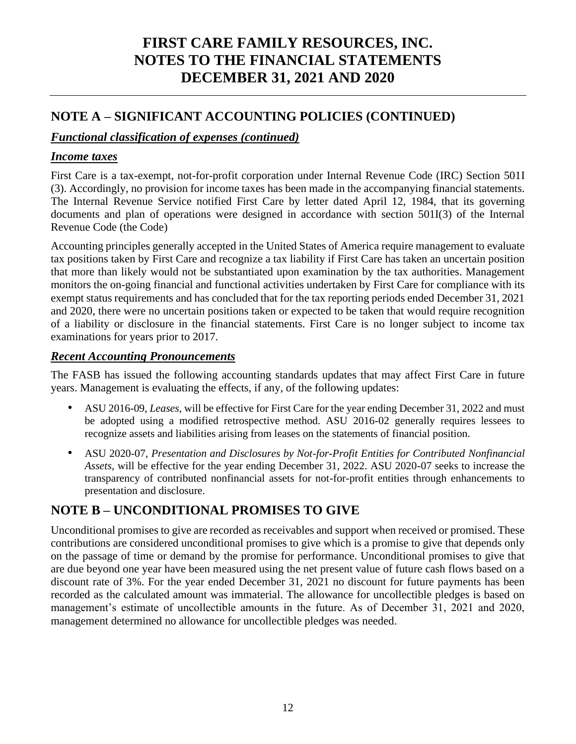### **NOTE A – SIGNIFICANT ACCOUNTING POLICIES (CONTINUED)**

### *Functional classification of expenses (continued)*

#### *Income taxes*

First Care is a tax-exempt, not-for-profit corporation under Internal Revenue Code (IRC) Section 501I (3). Accordingly, no provision for income taxes has been made in the accompanying financial statements. The Internal Revenue Service notified First Care by letter dated April 12, 1984, that its governing documents and plan of operations were designed in accordance with section 501I(3) of the Internal Revenue Code (the Code)

Accounting principles generally accepted in the United States of America require management to evaluate tax positions taken by First Care and recognize a tax liability if First Care has taken an uncertain position that more than likely would not be substantiated upon examination by the tax authorities. Management monitors the on-going financial and functional activities undertaken by First Care for compliance with its exempt status requirements and has concluded that for the tax reporting periods ended December 31, 2021 and 2020, there were no uncertain positions taken or expected to be taken that would require recognition of a liability or disclosure in the financial statements. First Care is no longer subject to income tax examinations for years prior to 2017.

#### *Recent Accounting Pronouncements*

The FASB has issued the following accounting standards updates that may affect First Care in future years. Management is evaluating the effects, if any, of the following updates:

- ASU 2016-09, *Leases,* will be effective for First Care for the year ending December 31, 2022 and must be adopted using a modified retrospective method. ASU 2016-02 generally requires lessees to recognize assets and liabilities arising from leases on the statements of financial position.
- ASU 2020-07, *Presentation and Disclosures by Not-for-Profit Entities for Contributed Nonfinancial Assets*, will be effective for the year ending December 31, 2022. ASU 2020-07 seeks to increase the transparency of contributed nonfinancial assets for not-for-profit entities through enhancements to presentation and disclosure.

# **NOTE B – UNCONDITIONAL PROMISES TO GIVE**

Unconditional promises to give are recorded as receivables and support when received or promised. These contributions are considered unconditional promises to give which is a promise to give that depends only on the passage of time or demand by the promise for performance. Unconditional promises to give that are due beyond one year have been measured using the net present value of future cash flows based on a discount rate of 3%. For the year ended December 31, 2021 no discount for future payments has been recorded as the calculated amount was immaterial. The allowance for uncollectible pledges is based on management's estimate of uncollectible amounts in the future. As of December 31, 2021 and 2020, management determined no allowance for uncollectible pledges was needed.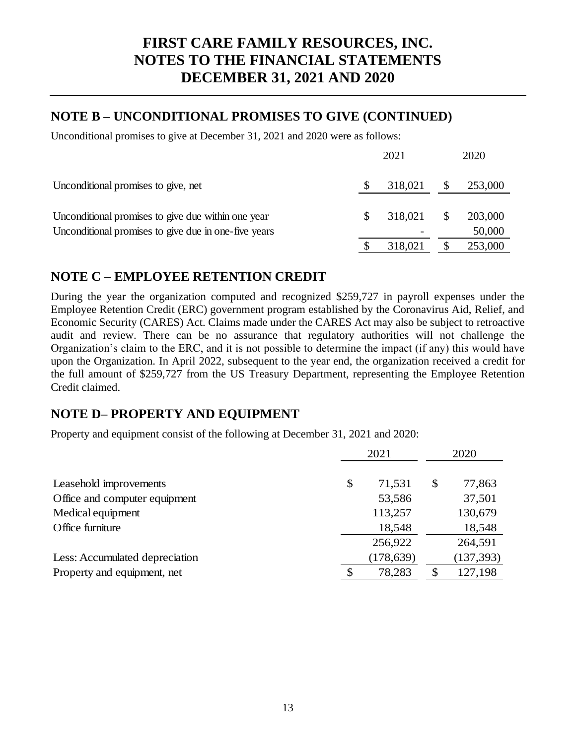### **NOTE B – UNCONDITIONAL PROMISES TO GIVE (CONTINUED)**

Unconditional promises to give at December 31, 2021 and 2020 were as follows:

|                                                      |  |         | 2020 |         |
|------------------------------------------------------|--|---------|------|---------|
| Unconditional promises to give, net                  |  | 318,021 | S    | 253,000 |
| Unconditional promises to give due within one year   |  | 318,021 | \$   | 203,000 |
| Unconditional promises to give due in one-five years |  |         |      | 50,000  |
|                                                      |  | 318,021 | \$   | 253,000 |

### **NOTE C – EMPLOYEE RETENTION CREDIT**

During the year the organization computed and recognized \$259,727 in payroll expenses under the Employee Retention Credit (ERC) government program established by the Coronavirus Aid, Relief, and Economic Security (CARES) Act. Claims made under the CARES Act may also be subject to retroactive audit and review. There can be no assurance that regulatory authorities will not challenge the Organization's claim to the ERC, and it is not possible to determine the impact (if any) this would have upon the Organization. In April 2022, subsequent to the year end, the organization received a credit for the full amount of \$259,727 from the US Treasury Department, representing the Employee Retention Credit claimed.

### **NOTE D– PROPERTY AND EQUIPMENT**

Property and equipment consist of the following at December 31, 2021 and 2020:

|                                | 2021         | 2020         |
|--------------------------------|--------------|--------------|
|                                |              |              |
| Leasehold improvements         | \$<br>71,531 | \$<br>77,863 |
| Office and computer equipment  | 53,586       | 37,501       |
| Medical equipment              | 113,257      | 130,679      |
| Office furniture               | 18,548       | 18,548       |
|                                | 256,922      | 264,591      |
| Less: Accumulated depreciation | (178, 639)   | (137, 393)   |
| Property and equipment, net    | 78,283       | 127,198      |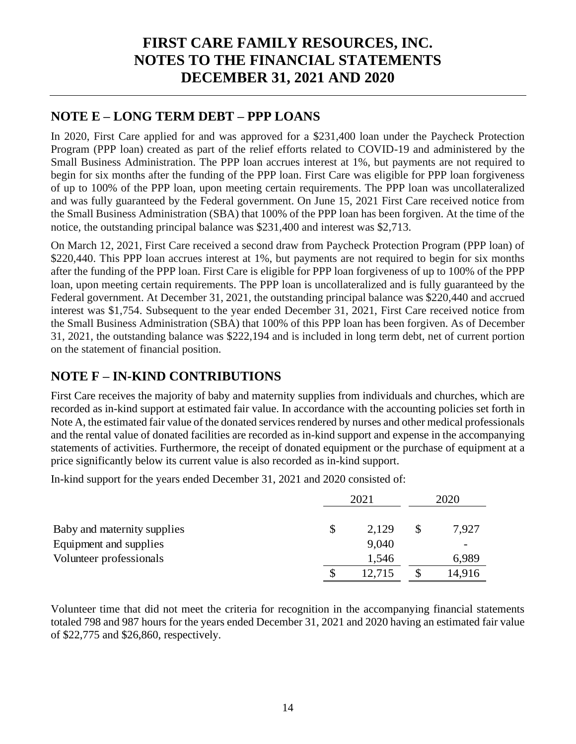### **NOTE E – LONG TERM DEBT – PPP LOANS**

In 2020, First Care applied for and was approved for a \$231,400 loan under the Paycheck Protection Program (PPP loan) created as part of the relief efforts related to COVID-19 and administered by the Small Business Administration. The PPP loan accrues interest at 1%, but payments are not required to begin for six months after the funding of the PPP loan. First Care was eligible for PPP loan forgiveness of up to 100% of the PPP loan, upon meeting certain requirements. The PPP loan was uncollateralized and was fully guaranteed by the Federal government. On June 15, 2021 First Care received notice from the Small Business Administration (SBA) that 100% of the PPP loan has been forgiven. At the time of the notice, the outstanding principal balance was \$231,400 and interest was \$2,713.

On March 12, 2021, First Care received a second draw from Paycheck Protection Program (PPP loan) of \$220,440. This PPP loan accrues interest at 1%, but payments are not required to begin for six months after the funding of the PPP loan. First Care is eligible for PPP loan forgiveness of up to 100% of the PPP loan, upon meeting certain requirements. The PPP loan is uncollateralized and is fully guaranteed by the Federal government. At December 31, 2021, the outstanding principal balance was \$220,440 and accrued interest was \$1,754. Subsequent to the year ended December 31, 2021, First Care received notice from the Small Business Administration (SBA) that 100% of this PPP loan has been forgiven. As of December 31, 2021, the outstanding balance was \$222,194 and is included in long term debt, net of current portion on the statement of financial position.

### **NOTE F – IN-KIND CONTRIBUTIONS**

First Care receives the majority of baby and maternity supplies from individuals and churches, which are recorded as in-kind support at estimated fair value. In accordance with the accounting policies set forth in Note A, the estimated fair value of the donated services rendered by nurses and other medical professionals and the rental value of donated facilities are recorded as in-kind support and expense in the accompanying statements of activities. Furthermore, the receipt of donated equipment or the purchase of equipment at a price significantly below its current value is also recorded as in-kind support.

In-kind support for the years ended December 31, 2021 and 2020 consisted of:

|                             | 2021 |        |  | 2020   |
|-----------------------------|------|--------|--|--------|
| Baby and maternity supplies | \$   | 2,129  |  | 7,927  |
| Equipment and supplies      |      | 9,040  |  |        |
| Volunteer professionals     |      | 1,546  |  | 6,989  |
|                             |      | 12,715 |  | 14,916 |

Volunteer time that did not meet the criteria for recognition in the accompanying financial statements totaled 798 and 987 hours for the years ended December 31, 2021 and 2020 having an estimated fair value of \$22,775 and \$26,860, respectively.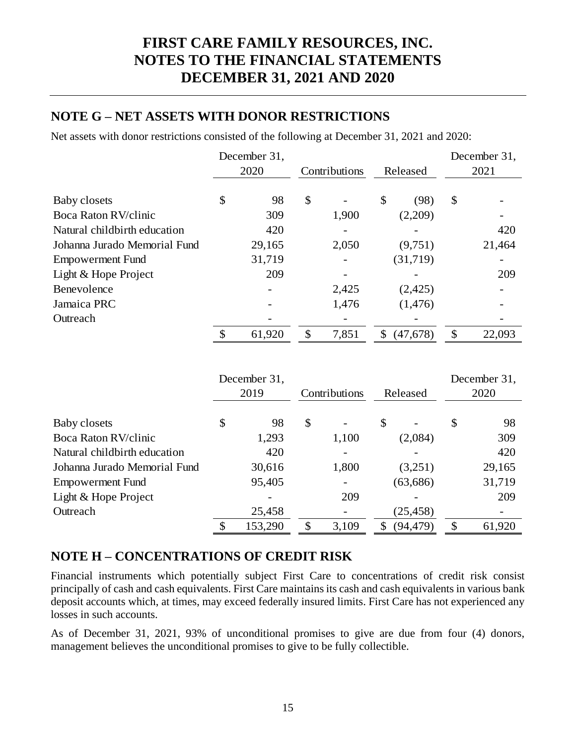### **NOTE G – NET ASSETS WITH DONOR RESTRICTIONS**

Net assets with donor restrictions consisted of the following at December 31, 2021 and 2020:

|                              | December 31, |        |               |       |          | December 31, |              |
|------------------------------|--------------|--------|---------------|-------|----------|--------------|--------------|
|                              |              | 2020   | Contributions |       | Released |              | 2021         |
|                              |              |        |               |       |          |              |              |
| Baby closets                 | \$           | 98     | \$            |       | \$       | (98)         | \$           |
| Boca Raton RV/clinic         |              | 309    |               | 1,900 |          | (2,209)      |              |
| Natural childbirth education |              | 420    |               |       |          |              | 420          |
| Johanna Jurado Memorial Fund |              | 29,165 |               | 2,050 |          | (9,751)      | 21,464       |
| <b>Empowerment Fund</b>      |              | 31,719 |               |       |          | (31,719)     |              |
| Light & Hope Project         |              | 209    |               |       |          |              | 209          |
| Benevolence                  |              |        |               | 2,425 |          | (2,425)      |              |
| Jamaica PRC                  |              |        |               | 1,476 |          | (1, 476)     |              |
| Outreach                     |              |        |               |       |          |              |              |
|                              |              | 61,920 | \$            | 7,851 | \$       | (47, 678)    | \$<br>22,093 |

|                              | December 31, |               |                          |          |           |      | December 31, |
|------------------------------|--------------|---------------|--------------------------|----------|-----------|------|--------------|
|                              | 2019         | Contributions |                          | Released |           | 2020 |              |
|                              |              |               |                          |          |           |      |              |
| Baby closets                 | \$<br>98     | \$            |                          | \$       |           | \$   | 98           |
| Boca Raton RV/clinic         | 1,293        |               | 1,100                    |          | (2,084)   |      | 309          |
| Natural childbirth education | 420          |               | $\overline{\phantom{a}}$ |          |           |      | 420          |
| Johanna Jurado Memorial Fund | 30,616       |               | 1,800                    |          | (3,251)   |      | 29,165       |
| <b>Empowerment Fund</b>      | 95,405       |               | $\overline{\phantom{a}}$ |          | (63, 686) |      | 31,719       |
| Light & Hope Project         |              |               | 209                      |          |           |      | 209          |
| Outreach                     | 25,458       |               |                          |          | (25, 458) |      |              |
|                              | 153,290      | \$            | 3,109                    | S        | (94, 479) | \$   | 61,920       |

### **NOTE H – CONCENTRATIONS OF CREDIT RISK**

Financial instruments which potentially subject First Care to concentrations of credit risk consist principally of cash and cash equivalents. First Care maintains its cash and cash equivalents in various bank deposit accounts which, at times, may exceed federally insured limits. First Care has not experienced any losses in such accounts.

As of December 31, 2021, 93% of unconditional promises to give are due from four (4) donors, management believes the unconditional promises to give to be fully collectible.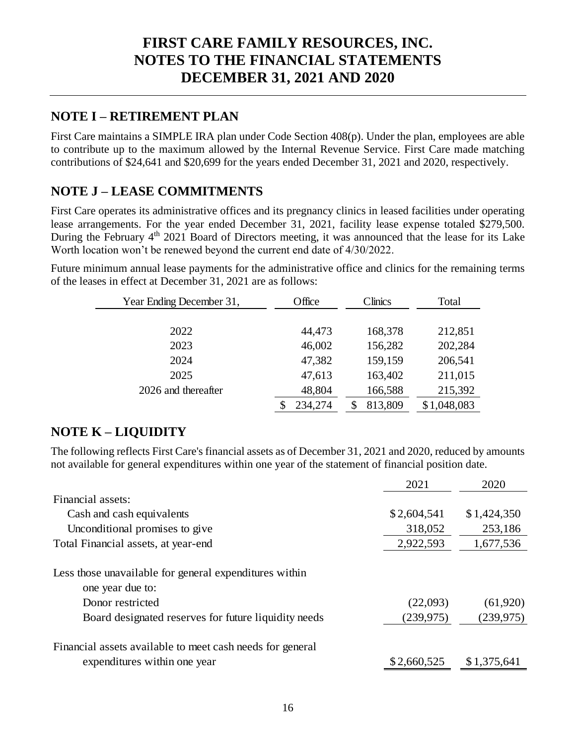### **NOTE I – RETIREMENT PLAN**

First Care maintains a SIMPLE IRA plan under Code Section 408(p). Under the plan, employees are able to contribute up to the maximum allowed by the Internal Revenue Service. First Care made matching contributions of \$24,641 and \$20,699 for the years ended December 31, 2021 and 2020, respectively.

### **NOTE J – LEASE COMMITMENTS**

First Care operates its administrative offices and its pregnancy clinics in leased facilities under operating lease arrangements. For the year ended December 31, 2021, facility lease expense totaled \$279,500. During the February 4<sup>th</sup> 2021 Board of Directors meeting, it was announced that the lease for its Lake Worth location won't be renewed beyond the current end date of 4/30/2022.

Future minimum annual lease payments for the administrative office and clinics for the remaining terms of the leases in effect at December 31, 2021 are as follows:

| 212,851     |
|-------------|
| 202,284     |
| 206,541     |
| 211,015     |
| 215,392     |
| \$1,048,083 |
|             |

### **NOTE K – LIQUIDITY**

The following reflects First Care's financial assets as of December 31, 2021 and 2020, reduced by amounts not available for general expenditures within one year of the statement of financial position date.

|                                                                                                                                                        | 2021                   | 2020                   |
|--------------------------------------------------------------------------------------------------------------------------------------------------------|------------------------|------------------------|
| Financial assets:                                                                                                                                      |                        |                        |
| Cash and cash equivalents                                                                                                                              | \$2,604,541            | \$1,424,350            |
| Unconditional promises to give                                                                                                                         | 318,052                | 253,186                |
| Total Financial assets, at year-end                                                                                                                    | 2,922,593              | 1,677,536              |
| Less those unavailable for general expenditures within<br>one year due to:<br>Donor restricted<br>Board designated reserves for future liquidity needs | (22,093)<br>(239, 975) | (61,920)<br>(239, 975) |
| Financial assets available to meet cash needs for general<br>expenditures within one year                                                              | \$2,660,525            | \$1,375,641            |